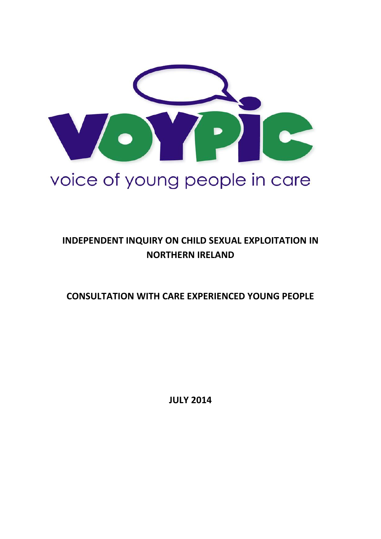

# **INDEPENDENT INQUIRY ON CHILD SEXUAL EXPLOITATION IN NORTHERN IRELAND**

**CONSULTATION WITH CARE EXPERIENCED YOUNG PEOPLE**

**JULY 2014**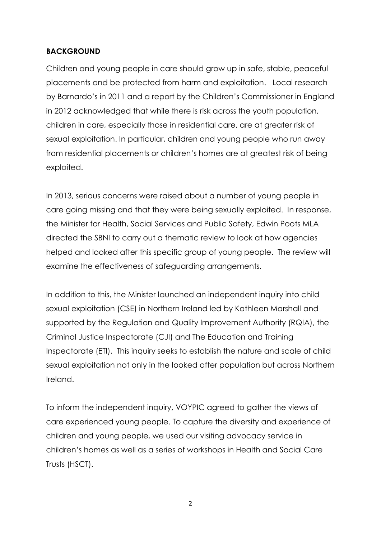#### **BACKGROUND**

Children and young people in care should grow up in safe, stable, peaceful placements and be protected from harm and exploitation. Local research by Barnardo's in 2011 and a report by the Children's Commissioner in England in 2012 acknowledged that while there is risk across the youth population, children in care, especially those in residential care, are at greater risk of sexual exploitation. In particular, children and young people who run away from residential placements or children's homes are at greatest risk of being exploited.

In 2013, serious concerns were raised about a number of young people in care going missing and that they were being sexually exploited. In response, the Minister for Health, Social Services and Public Safety, Edwin Poots MLA directed the SBNI to carry out a thematic review to look at how agencies helped and looked after this specific group of young people. The review will examine the effectiveness of safeguarding arrangements.

In addition to this, the Minister launched an independent inquiry into child sexual exploitation (CSE) in Northern Ireland led by Kathleen Marshall and supported by the Regulation and Quality Improvement Authority (RQIA), the Criminal Justice Inspectorate (CJI) and The Education and Training Inspectorate (ETI). This inquiry seeks to establish the nature and scale of child sexual exploitation not only in the looked after population but across Northern Ireland.

To inform the independent inquiry, VOYPIC agreed to gather the views of care experienced young people. To capture the diversity and experience of children and young people, we used our visiting advocacy service in children's homes as well as a series of workshops in Health and Social Care Trusts (HSCT).

2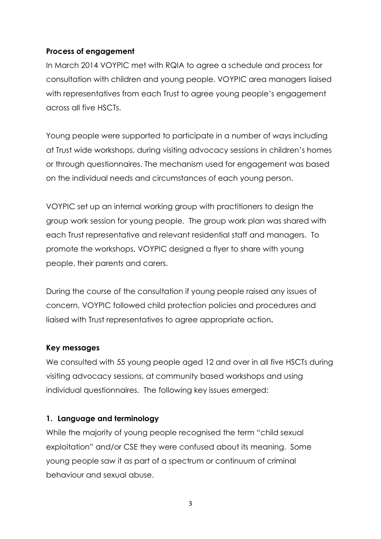## **Process of engagement**

In March 2014 VOYPIC met with RQIA to agree a schedule and process for consultation with children and young people. VOYPIC area managers liaised with representatives from each Trust to agree young people's engagement across all five HSCTs.

Young people were supported to participate in a number of ways including at Trust wide workshops, during visiting advocacy sessions in children's homes or through questionnaires. The mechanism used for engagement was based on the individual needs and circumstances of each young person.

VOYPIC set up an internal working group with practitioners to design the group work session for young people. The group work plan was shared with each Trust representative and relevant residential staff and managers. To promote the workshops, VOYPIC designed a flyer to share with young people, their parents and carers.

During the course of the consultation if young people raised any issues of concern, VOYPIC followed child protection policies and procedures and liaised with Trust representatives to agree appropriate action**.** 

#### **Key messages**

We consulted with 55 young people aged 12 and over in all five HSCTs during visiting advocacy sessions, at community based workshops and using individual questionnaires. The following key issues emerged:

#### **1. Language and terminology**

While the majority of young people recognised the term "child sexual exploitation" and/or CSE they were confused about its meaning. Some young people saw it as part of a spectrum or continuum of criminal behaviour and sexual abuse.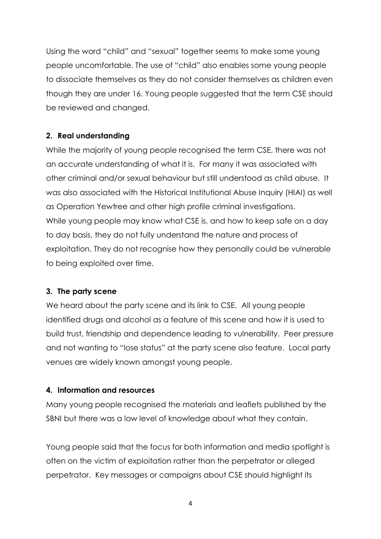Using the word "child" and "sexual" together seems to make some young people uncomfortable. The use of "child" also enables some young people to dissociate themselves as they do not consider themselves as children even though they are under 16. Young people suggested that the term CSE should be reviewed and changed.

# **2. Real understanding**

While the majority of young people recognised the term CSE, there was not an accurate understanding of what it is. For many it was associated with other criminal and/or sexual behaviour but still understood as child abuse. It was also associated with the Historical Institutional Abuse Inquiry (HIAI) as well as Operation Yewtree and other high profile criminal investigations. While young people may know what CSE is, and how to keep safe on a day to day basis, they do not fully understand the nature and process of exploitation. They do not recognise how they personally could be vulnerable to being exploited over time.

# **3. The party scene**

We heard about the party scene and its link to CSE. All young people identified drugs and alcohol as a feature of this scene and how it is used to build trust, friendship and dependence leading to vulnerability. Peer pressure and not wanting to "lose status" at the party scene also feature. Local party venues are widely known amongst young people.

# **4. Information and resources**

Many young people recognised the materials and leaflets published by the SBNI but there was a low level of knowledge about what they contain.

Young people said that the focus for both information and media spotlight is often on the victim of exploitation rather than the perpetrator or alleged perpetrator. Key messages or campaigns about CSE should highlight its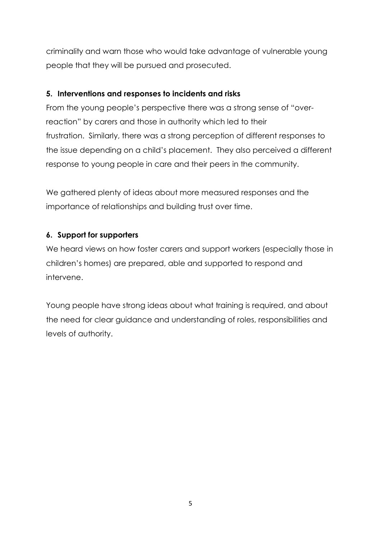criminality and warn those who would take advantage of vulnerable young people that they will be pursued and prosecuted.

# **5. Interventions and responses to incidents and risks**

From the young people's perspective there was a strong sense of "overreaction" by carers and those in authority which led to their frustration. Similarly, there was a strong perception of different responses to the issue depending on a child's placement. They also perceived a different response to young people in care and their peers in the community.

We gathered plenty of ideas about more measured responses and the importance of relationships and building trust over time.

# **6. Support for supporters**

We heard views on how foster carers and support workers (especially those in children's homes) are prepared, able and supported to respond and intervene.

Young people have strong ideas about what training is required, and about the need for clear guidance and understanding of roles, responsibilities and levels of authority.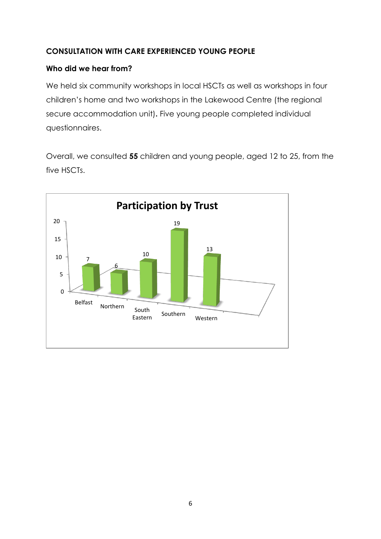# **CONSULTATION WITH CARE EXPERIENCED YOUNG PEOPLE**

## **Who did we hear from?**

We held six community workshops in local HSCTs as well as workshops in four children's home and two workshops in the Lakewood Centre (the regional secure accommodation unit)**.** Five young people completed individual questionnaires.

Overall, we consulted **55** children and young people, aged 12 to 25, from the five HSCTs.

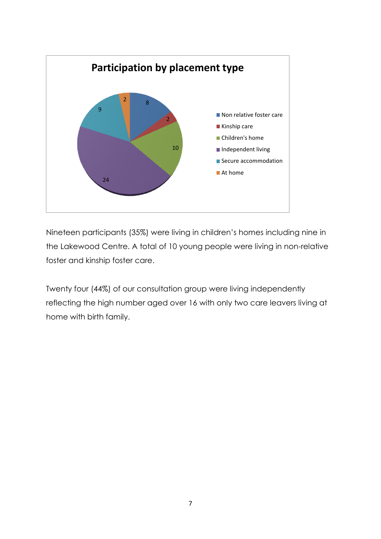

Nineteen participants (35%) were living in children's homes including nine in the Lakewood Centre. A total of 10 young people were living in non-relative foster and kinship foster care.

Twenty four (44%) of our consultation group were living independently reflecting the high number aged over 16 with only two care leavers living at home with birth family.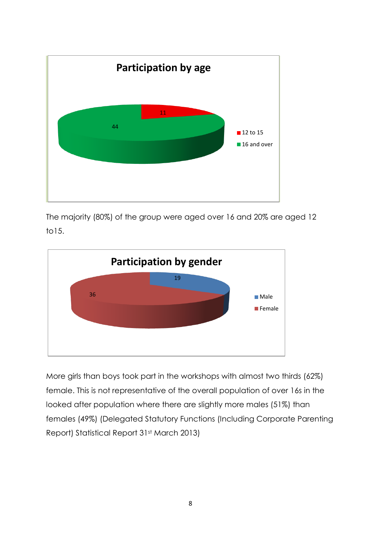

The majority (80%) of the group were aged over 16 and 20% are aged 12 to15.



More girls than boys took part in the workshops with almost two thirds (62%) female. This is not representative of the overall population of over 16s in the looked after population where there are slightly more males (51%) than females (49%) (Delegated Statutory Functions (Including Corporate Parenting Report) Statistical Report 31st March 2013)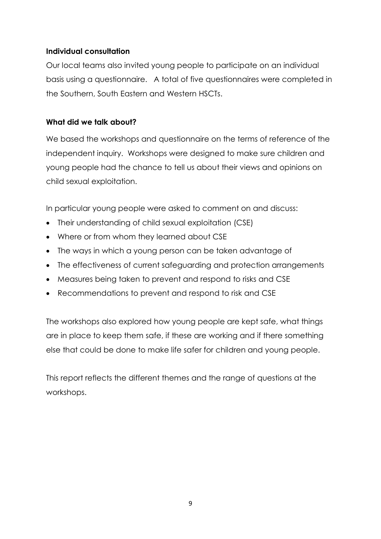## **Individual consultation**

Our local teams also invited young people to participate on an individual basis using a questionnaire. A total of five questionnaires were completed in the Southern, South Eastern and Western HSCTs.

## **What did we talk about?**

We based the workshops and questionnaire on the terms of reference of the independent inquiry. Workshops were designed to make sure children and young people had the chance to tell us about their views and opinions on child sexual exploitation.

In particular young people were asked to comment on and discuss:

- Their understanding of child sexual exploitation (CSE)
- Where or from whom they learned about CSE
- The ways in which a young person can be taken advantage of
- The effectiveness of current safeguarding and protection arrangements
- Measures being taken to prevent and respond to risks and CSE
- Recommendations to prevent and respond to risk and CSE

The workshops also explored how young people are kept safe, what things are in place to keep them safe, if these are working and if there something else that could be done to make life safer for children and young people.

This report reflects the different themes and the range of questions at the workshops.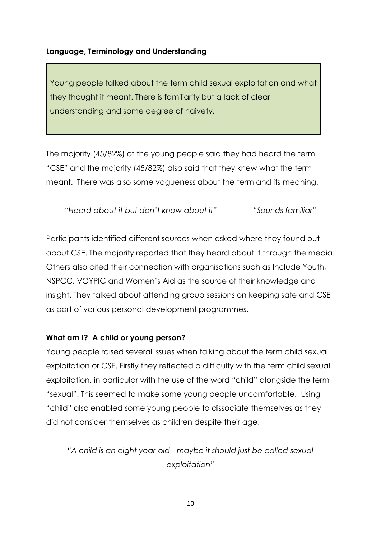#### **Language, Terminology and Understanding**

Young people talked about the term child sexual exploitation and what they thought it meant. There is familiarity but a lack of clear understanding and some degree of naivety.

The majority (45/82%) of the young people said they had heard the term "CSE" and the majority (45/82%) also said that they knew what the term meant. There was also some vagueness about the term and its meaning.

*"Heard about it but don't know about it" "Sounds familiar"*

Participants identified different sources when asked where they found out about CSE. The majority reported that they heard about it through the media. Others also cited their connection with organisations such as Include Youth, NSPCC, VOYPIC and Women's Aid as the source of their knowledge and insight. They talked about attending group sessions on keeping safe and CSE as part of various personal development programmes.

#### **What am I? A child or young person?**

Young people raised several issues when talking about the term child sexual exploitation or CSE. Firstly they reflected a difficulty with the term child sexual exploitation, in particular with the use of the word "child" alongside the term "sexual". This seemed to make some young people uncomfortable. Using "child" also enabled some young people to dissociate themselves as they did not consider themselves as children despite their age.

*"A child is an eight year-old - maybe it should just be called sexual exploitation"*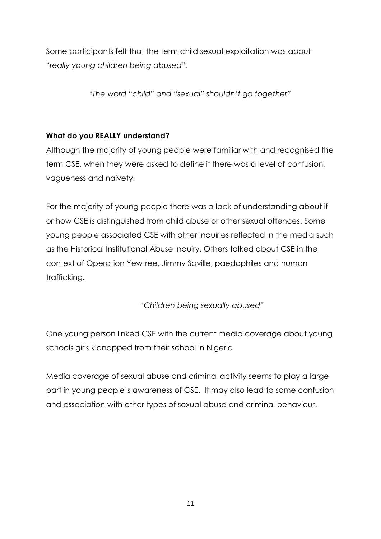Some participants felt that the term child sexual exploitation was about "*really young children being abused".*

'*The word "child" and "sexual" shouldn't go together"*

# **What do you REALLY understand?**

Although the majority of young people were familiar with and recognised the term CSE, when they were asked to define it there was a level of confusion, vagueness and naivety.

For the majority of young people there was a lack of understanding about if or how CSE is distinguished from child abuse or other sexual offences. Some young people associated CSE with other inquiries reflected in the media such as the Historical Institutional Abuse Inquiry. Others talked about CSE in the context of Operation Yewtree, Jimmy Saville, paedophiles and human trafficking**.** 

*"Children being sexually abused"*

One young person linked CSE with the current media coverage about young schools girls kidnapped from their school in Nigeria.

Media coverage of sexual abuse and criminal activity seems to play a large part in young people's awareness of CSE. It may also lead to some confusion and association with other types of sexual abuse and criminal behaviour.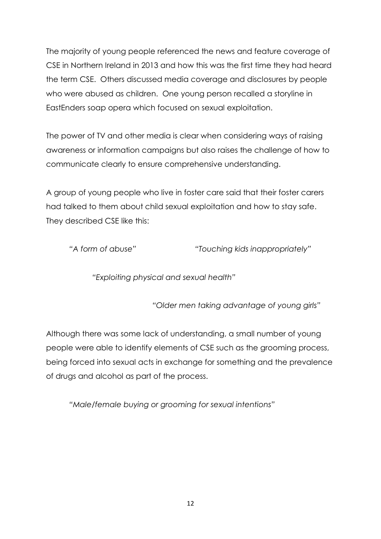The majority of young people referenced the news and feature coverage of CSE in Northern Ireland in 2013 and how this was the first time they had heard the term CSE. Others discussed media coverage and disclosures by people who were abused as children. One young person recalled a storyline in EastEnders soap opera which focused on sexual exploitation.

The power of TV and other media is clear when considering ways of raising awareness or information campaigns but also raises the challenge of how to communicate clearly to ensure comprehensive understanding.

A group of young people who live in foster care said that their foster carers had talked to them about child sexual exploitation and how to stay safe. They described CSE like this:

*"A form of abuse" "Touching kids inappropriately"*

*"Exploiting physical and sexual health"*

*"Older men taking advantage of young girls"*

Although there was some lack of understanding, a small number of young people were able to identify elements of CSE such as the grooming process, being forced into sexual acts in exchange for something and the prevalence of drugs and alcohol as part of the process.

*"Male/female buying or grooming for sexual intentions"*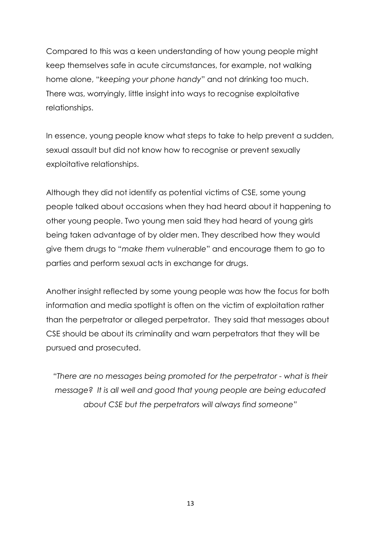Compared to this was a keen understanding of how young people might keep themselves safe in acute circumstances, for example, not walking home alone, "*keeping your phone handy*" and not drinking too much. There was, worryingly, little insight into ways to recognise exploitative relationships.

In essence, young people know what steps to take to help prevent a sudden, sexual assault but did not know how to recognise or prevent sexually exploitative relationships.

Although they did not identify as potential victims of CSE, some young people talked about occasions when they had heard about it happening to other young people. Two young men said they had heard of young girls being taken advantage of by older men. They described how they would give them drugs to "*make them vulnerable*" and encourage them to go to parties and perform sexual acts in exchange for drugs.

Another insight reflected by some young people was how the focus for both information and media spotlight is often on the victim of exploitation rather than the perpetrator or alleged perpetrator. They said that messages about CSE should be about its criminality and warn perpetrators that they will be pursued and prosecuted.

*"There are no messages being promoted for the perpetrator - what is their message? It is all well and good that young people are being educated about CSE but the perpetrators will always find someone"*

13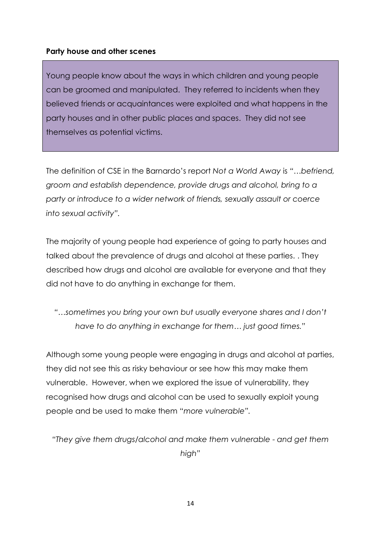#### **Party house and other scenes**

Young people know about the ways in which children and young people can be groomed and manipulated. They referred to incidents when they believed friends or acquaintances were exploited and what happens in the party houses and in other public places and spaces. They did not see themselves as potential victims.

The definition of CSE in the Barnardo's report *Not a World Away* is *"…befriend, groom and establish dependence, provide drugs and alcohol, bring to a party or introduce to a wider network of friends, sexually assault or coerce into sexual activity".*

The majority of young people had experience of going to party houses and talked about the prevalence of drugs and alcohol at these parties. . They described how drugs and alcohol are available for everyone and that they did not have to do anything in exchange for them.

*"…sometimes you bring your own but usually everyone shares and I don't have to do anything in exchange for them… just good times."*

Although some young people were engaging in drugs and alcohol at parties, they did not see this as risky behaviour or see how this may make them vulnerable. However, when we explored the issue of vulnerability, they recognised how drugs and alcohol can be used to sexually exploit young people and be used to make them "*more vulnerable".*

*"They give them drugs/alcohol and make them vulnerable - and get them high"*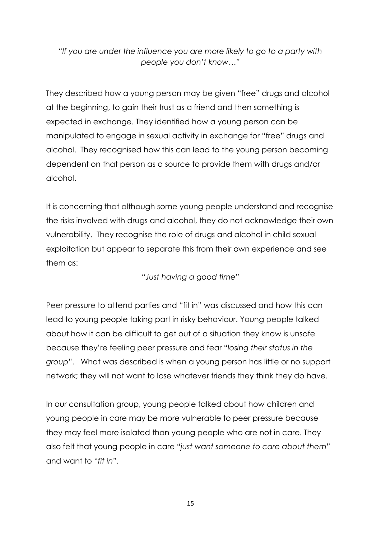*"If you are under the influence you are more likely to go to a party with people you don't know…"*

They described how a young person may be given "free" drugs and alcohol at the beginning, to gain their trust as a friend and then something is expected in exchange. They identified how a young person can be manipulated to engage in sexual activity in exchange for "free" drugs and alcohol. They recognised how this can lead to the young person becoming dependent on that person as a source to provide them with drugs and/or alcohol.

It is concerning that although some young people understand and recognise the risks involved with drugs and alcohol, they do not acknowledge their own vulnerability. They recognise the role of drugs and alcohol in child sexual exploitation but appear to separate this from their own experience and see them as:

*"Just having a good time"*

Peer pressure to attend parties and "fit in" was discussed and how this can lead to young people taking part in risky behaviour. Young people talked about how it can be difficult to get out of a situation they know is unsafe because they're feeling peer pressure and fear "*losing their status in the group*". What was described is when a young person has little or no support network; they will not want to lose whatever friends they think they do have.

In our consultation group, young people talked about how children and young people in care may be more vulnerable to peer pressure because they may feel more isolated than young people who are not in care. They also felt that young people in care "*just want someone to care about them*" and want to "*fit in".*

15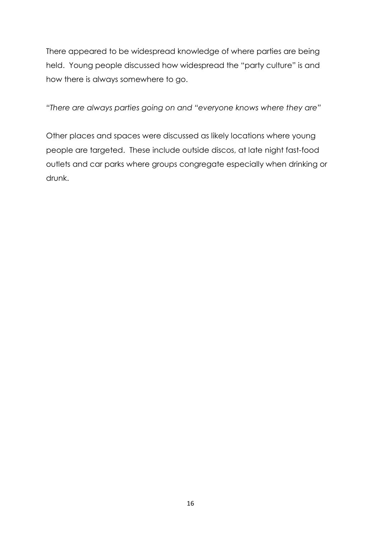There appeared to be widespread knowledge of where parties are being held. Young people discussed how widespread the "party culture" is and how there is always somewhere to go.

*"There are always parties going on and "everyone knows where they are"*

Other places and spaces were discussed as likely locations where young people are targeted. These include outside discos, at late night fast-food outlets and car parks where groups congregate especially when drinking or drunk.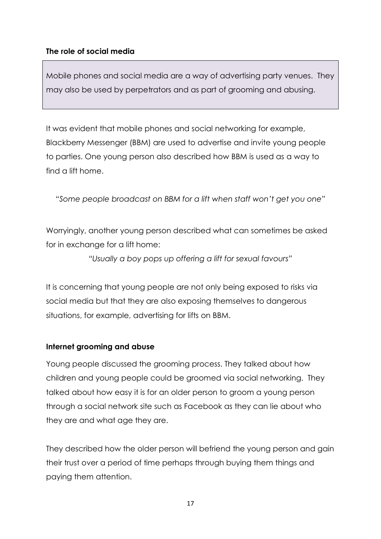# **The role of social media**

Mobile phones and social media are a way of advertising party venues. They may also be used by perpetrators and as part of grooming and abusing.

It was evident that mobile phones and social networking for example, Blackberry Messenger (BBM) are used to advertise and invite young people to parties. One young person also described how BBM is used as a way to find a lift home.

*"Some people broadcast on BBM for a lift when staff won't get you one"*

Worryingly, another young person described what can sometimes be asked for in exchange for a lift home:

*"Usually a boy pops up offering a lift for sexual favours"*

It is concerning that young people are not only being exposed to risks via social media but that they are also exposing themselves to dangerous situations, for example, advertising for lifts on BBM.

#### **Internet grooming and abuse**

Young people discussed the grooming process. They talked about how children and young people could be groomed via social networking. They talked about how easy it is for an older person to groom a young person through a social network site such as Facebook as they can lie about who they are and what age they are.

They described how the older person will befriend the young person and gain their trust over a period of time perhaps through buying them things and paying them attention.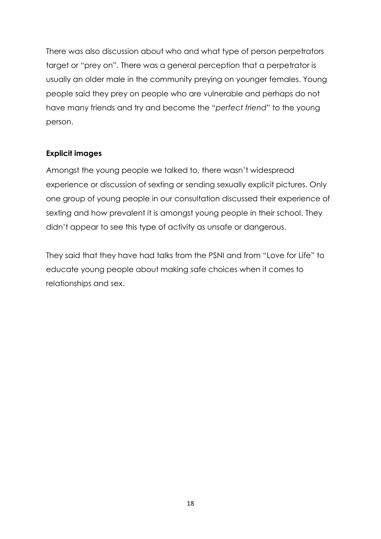There was also discussion about who and what type of person perpetrators target or "prey on". There was a general perception that a perpetrator is usually an older male in the community preying on younger females. Young people said they prey on people who are vulnerable and perhaps do not have many friends and try and become the "*perfect friend*" to the young person.

# **Explicit images**

Amongst the young people we talked to, there wasn't widespread experience or discussion of sexting or sending sexually explicit pictures. Only one group of young people in our consultation discussed their experience of sexting and how prevalent it is amongst young people in their school. They didn't appear to see this type of activity as unsafe or dangerous.

They said that they have had talks from the PSNI and from "Love for Life" to educate young people about making safe choices when it comes to relationships and sex.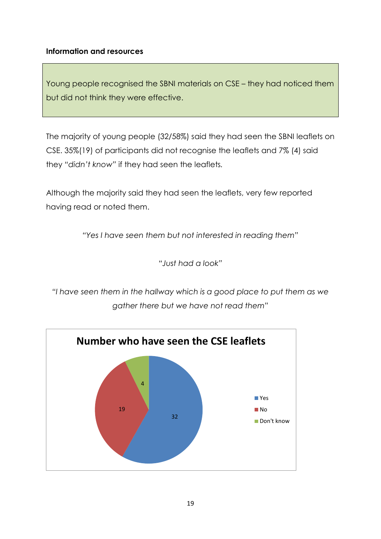## **Information and resources**

Young people recognised the SBNI materials on CSE – they had noticed them but did not think they were effective.

The majority of young people (32/58%) said they had seen the SBNI leaflets on CSE. 35%(19) of participants did not recognise the leaflets and 7% (4) said they *"didn't know"* if they had seen the leaflets*.*

Although the majority said they had seen the leaflets, very few reported having read or noted them.

*"Yes I have seen them but not interested in reading them"*

*"Just had a look"*

*"I have seen them in the hallway which is a good place to put them as we gather there but we have not read them"*

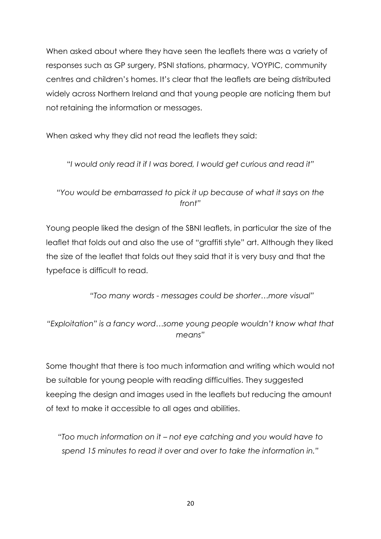When asked about where they have seen the leaflets there was a variety of responses such as GP surgery, PSNI stations, pharmacy, VOYPIC, community centres and children's homes. It's clear that the leaflets are being distributed widely across Northern Ireland and that young people are noticing them but not retaining the information or messages.

When asked why they did not read the leaflets they said:

"*I would only read it if I was bored, I would get curious and read it"*

*"You would be embarrassed to pick it up because of what it says on the front"*

Young people liked the design of the SBNI leaflets, in particular the size of the leaflet that folds out and also the use of "graffiti style" art. Although they liked the size of the leaflet that folds out they said that it is very busy and that the typeface is difficult to read.

*"Too many words - messages could be shorter…more visual"*

*"Exploitation" is a fancy word…some young people wouldn't know what that means"*

Some thought that there is too much information and writing which would not be suitable for young people with reading difficulties. They suggested keeping the design and images used in the leaflets but reducing the amount of text to make it accessible to all ages and abilities.

*"Too much information on it – not eye catching and you would have to spend 15 minutes to read it over and over to take the information in."*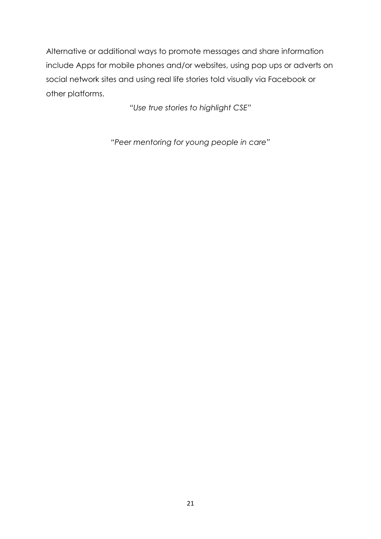Alternative or additional ways to promote messages and share information include Apps for mobile phones and/or websites, using pop ups or adverts on social network sites and using real life stories told visually via Facebook or other platforms.

*"Use true stories to highlight CSE"*

*"Peer mentoring for young people in care"*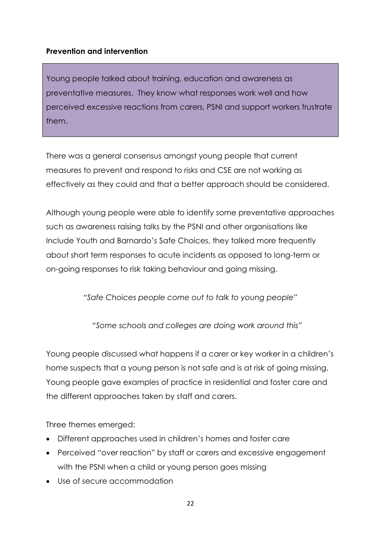## **Prevention and intervention**

Young people talked about training, education and awareness as preventative measures. They know what responses work well and how perceived excessive reactions from carers, PSNI and support workers frustrate them.

There was a general consensus amongst young people that current measures to prevent and respond to risks and CSE are not working as effectively as they could and that a better approach should be considered.

Although young people were able to identify some preventative approaches such as awareness raising talks by the PSNI and other organisations like Include Youth and Barnardo's Safe Choices, they talked more frequently about short term responses to acute incidents as opposed to long-term or on-going responses to risk taking behaviour and going missing.

*"Safe Choices people come out to talk to young people"*

*"Some schools and colleges are doing work around this"*

Young people discussed what happens if a carer or key worker in a children's home suspects that a young person is not safe and is at risk of going missing. Young people gave examples of practice in residential and foster care and the different approaches taken by staff and carers.

Three themes emerged:

- Different approaches used in children's homes and foster care
- Perceived "over reaction" by staff or carers and excessive engagement with the PSNI when a child or young person goes missing
- Use of secure accommodation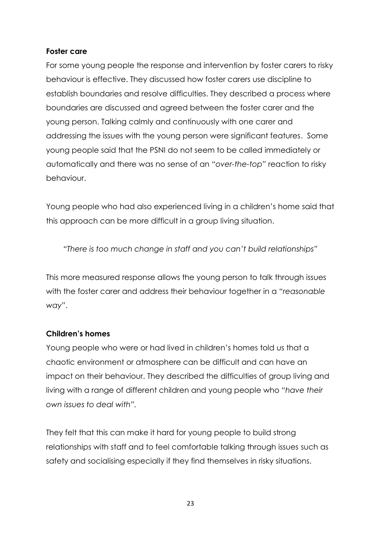## **Foster care**

For some young people the response and intervention by foster carers to risky behaviour is effective. They discussed how foster carers use discipline to establish boundaries and resolve difficulties. They described a process where boundaries are discussed and agreed between the foster carer and the young person. Talking calmly and continuously with one carer and addressing the issues with the young person were significant features. Some young people said that the PSNI do not seem to be called immediately or automatically and there was no sense of an "*over-the-top*" reaction to risky behaviour.

Young people who had also experienced living in a children's home said that this approach can be more difficult in a group living situation.

*"There is too much change in staff and you can't build relationships"*

This more measured response allows the young person to talk through issues with the foster carer and address their behaviour together in a "*reasonable way*".

#### **Children's homes**

Young people who were or had lived in children's homes told us that a chaotic environment or atmosphere can be difficult and can have an impact on their behaviour. They described the difficulties of group living and living with a range of different children and young people who "*have their own issues to deal with".*

They felt that this can make it hard for young people to build strong relationships with staff and to feel comfortable talking through issues such as safety and socialising especially if they find themselves in risky situations.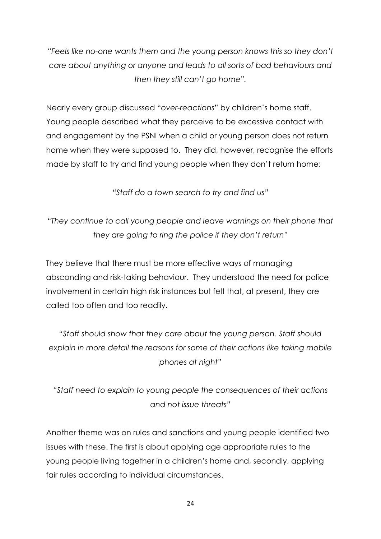*"Feels like no-one wants them and the young person knows this so they don't care about anything or anyone and leads to all sorts of bad behaviours and then they still can't go home".*

Nearly every group discussed "*over-reactions*" by children's home staff. Young people described what they perceive to be excessive contact with and engagement by the PSNI when a child or young person does not return home when they were supposed to. They did, however, recognise the efforts made by staff to try and find young people when they don't return home:

*"Staff do a town search to try and find us"*

*"They continue to call young people and leave warnings on their phone that they are going to ring the police if they don't return"*

They believe that there must be more effective ways of managing absconding and risk-taking behaviour. They understood the need for police involvement in certain high risk instances but felt that, at present, they are called too often and too readily.

*"Staff should show that they care about the young person. Staff should explain in more detail the reasons for some of their actions like taking mobile phones at night"*

*"Staff need to explain to young people the consequences of their actions and not issue threats"*

Another theme was on rules and sanctions and young people identified two issues with these. The first is about applying age appropriate rules to the young people living together in a children's home and, secondly, applying fair rules according to individual circumstances.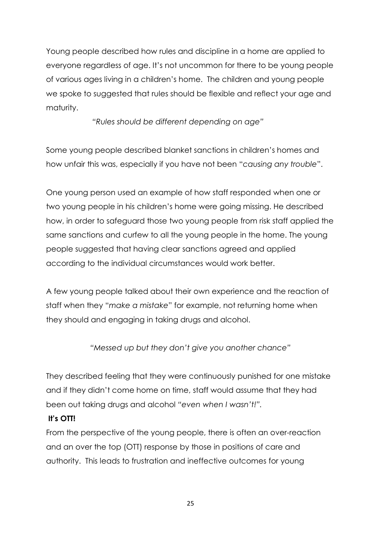Young people described how rules and discipline in a home are applied to everyone regardless of age. It's not uncommon for there to be young people of various ages living in a children's home. The children and young people we spoke to suggested that rules should be flexible and reflect your age and maturity.

*"Rules should be different depending on age"*

Some young people described blanket sanctions in children's homes and how unfair this was, especially if you have not been "*causing any trouble*".

One young person used an example of how staff responded when one or two young people in his children's home were going missing. He described how, in order to safeguard those two young people from risk staff applied the same sanctions and curfew to all the young people in the home. The young people suggested that having clear sanctions agreed and applied according to the individual circumstances would work better.

A few young people talked about their own experience and the reaction of staff when they "*make a mistake*" for example, not returning home when they should and engaging in taking drugs and alcohol.

*"Messed up but they don't give you another chance"*

They described feeling that they were continuously punished for one mistake and if they didn't come home on time, staff would assume that they had been out taking drugs and alcohol *"even when I wasn't!".*

# **It's OTT!**

From the perspective of the young people, there is often an over-reaction and an over the top (OTT) response by those in positions of care and authority. This leads to frustration and ineffective outcomes for young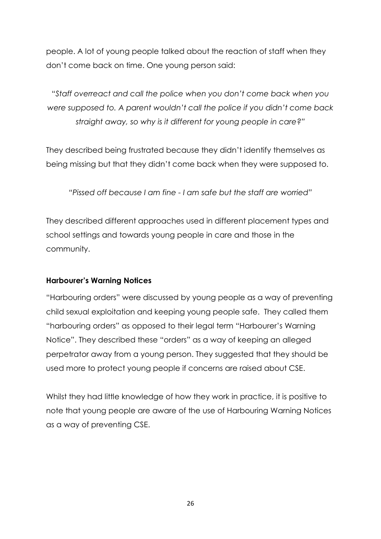people. A lot of young people talked about the reaction of staff when they don't come back on time. One young person said:

"*Staff overreact and call the police when you don't come back when you were supposed to. A parent wouldn't call the police if you didn't come back straight away, so why is it different for young people in care?"*

They described being frustrated because they didn't identify themselves as being missing but that they didn't come back when they were supposed to.

*"Pissed off because I am fine - I am safe but the staff are worried"*

They described different approaches used in different placement types and school settings and towards young people in care and those in the community.

#### **Harbourer's Warning Notices**

"Harbouring orders" were discussed by young people as a way of preventing child sexual exploitation and keeping young people safe. They called them "harbouring orders" as opposed to their legal term "Harbourer's Warning Notice". They described these "orders" as a way of keeping an alleged perpetrator away from a young person. They suggested that they should be used more to protect young people if concerns are raised about CSE.

Whilst they had little knowledge of how they work in practice, it is positive to note that young people are aware of the use of Harbouring Warning Notices as a way of preventing CSE.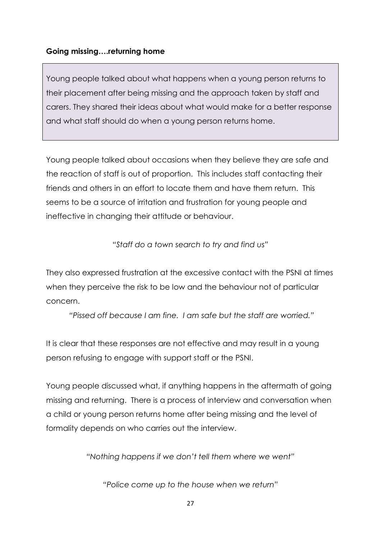# **Going missing….returning home**

Young people talked about what happens when a young person returns to their placement after being missing and the approach taken by staff and carers. They shared their ideas about what would make for a better response and what staff should do when a young person returns home.

Young people talked about occasions when they believe they are safe and the reaction of staff is out of proportion. This includes staff contacting their friends and others in an effort to locate them and have them return. This seems to be a source of irritation and frustration for young people and ineffective in changing their attitude or behaviour.

*"Staff do a town search to try and find us"*

They also expressed frustration at the excessive contact with the PSNI at times when they perceive the risk to be low and the behaviour not of particular concern.

*"Pissed off because I am fine. I am safe but the staff are worried."*

It is clear that these responses are not effective and may result in a young person refusing to engage with support staff or the PSNI.

Young people discussed what, if anything happens in the aftermath of going missing and returning. There is a process of interview and conversation when a child or young person returns home after being missing and the level of formality depends on who carries out the interview.

*"Nothing happens if we don't tell them where we went"*

*"Police come up to the house when we return"*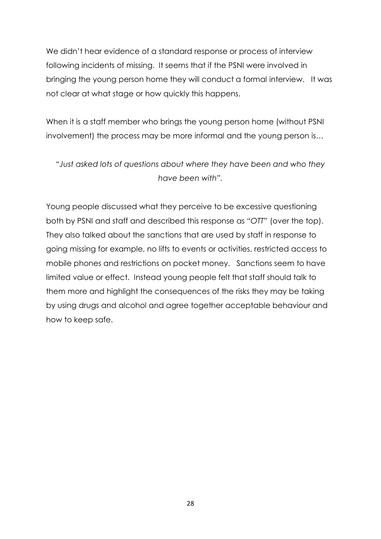We didn't hear evidence of a standard response or process of interview following incidents of missing. It seems that if the PSNI were involved in bringing the young person home they will conduct a formal interview. It was not clear at what stage or how quickly this happens.

When it is a staff member who brings the young person home (without PSNI involvement) the process may be more informal and the young person is…

*"Just asked lots of questions about where they have been and who they have been with".*

Young people discussed what they perceive to be excessive questioning both by PSNI and staff and described this response as *"OTT"* (over the top). They also talked about the sanctions that are used by staff in response to going missing for example, no lifts to events or activities, restricted access to mobile phones and restrictions on pocket money. Sanctions seem to have limited value or effect. Instead young people felt that staff should talk to them more and highlight the consequences of the risks they may be taking by using drugs and alcohol and agree together acceptable behaviour and how to keep safe.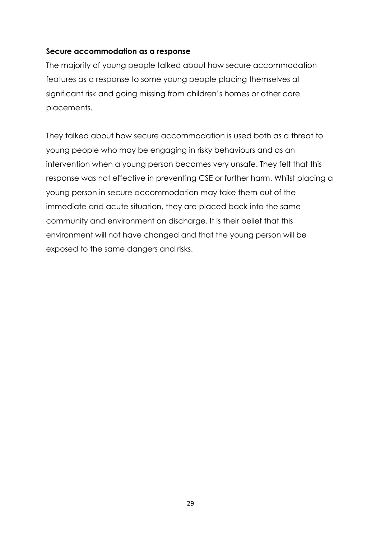#### **Secure accommodation as a response**

The majority of young people talked about how secure accommodation features as a response to some young people placing themselves at significant risk and going missing from children's homes or other care placements.

They talked about how secure accommodation is used both as a threat to young people who may be engaging in risky behaviours and as an intervention when a young person becomes very unsafe. They felt that this response was not effective in preventing CSE or further harm. Whilst placing a young person in secure accommodation may take them out of the immediate and acute situation, they are placed back into the same community and environment on discharge. It is their belief that this environment will not have changed and that the young person will be exposed to the same dangers and risks.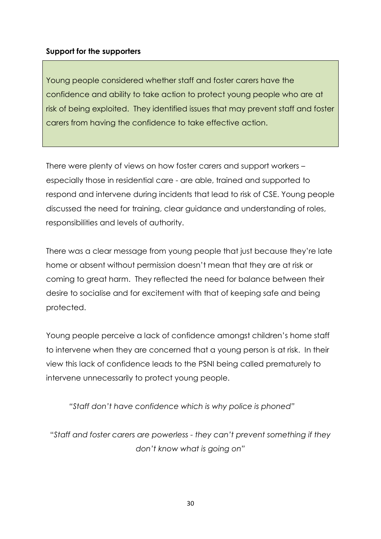#### **Support for the supporters**

Young people considered whether staff and foster carers have the confidence and ability to take action to protect young people who are at risk of being exploited. They identified issues that may prevent staff and foster carers from having the confidence to take effective action.

There were plenty of views on how foster carers and support workers – especially those in residential care - are able, trained and supported to respond and intervene during incidents that lead to risk of CSE. Young people discussed the need for training, clear guidance and understanding of roles, responsibilities and levels of authority.

There was a clear message from young people that just because they're late home or absent without permission doesn't mean that they are at risk or coming to great harm. They reflected the need for balance between their desire to socialise and for excitement with that of keeping safe and being protected.

Young people perceive a lack of confidence amongst children's home staff to intervene when they are concerned that a young person is at risk. In their view this lack of confidence leads to the PSNI being called prematurely to intervene unnecessarily to protect young people.

*"Staff don't have confidence which is why police is phoned"*

"*Staff and foster carers are powerless - they can't prevent something if they don't know what is going on"*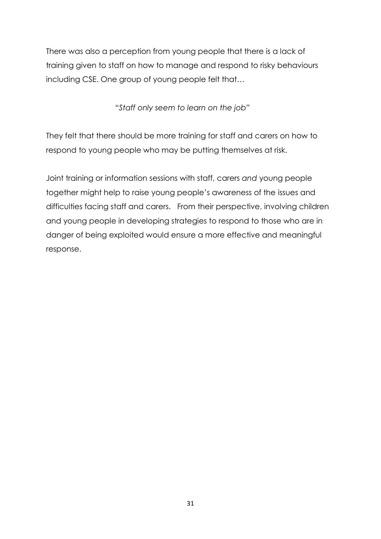There was also a perception from young people that there is a lack of training given to staff on how to manage and respond to risky behaviours including CSE. One group of young people felt that…

"*Staff only seem to learn on the job"*

They felt that there should be more training for staff and carers on how to respond to young people who may be putting themselves at risk.

Joint training or information sessions with staff, carers *and* young people together might help to raise young people's awareness of the issues and difficulties facing staff and carers. From their perspective, involving children and young people in developing strategies to respond to those who are in danger of being exploited would ensure a more effective and meaningful response.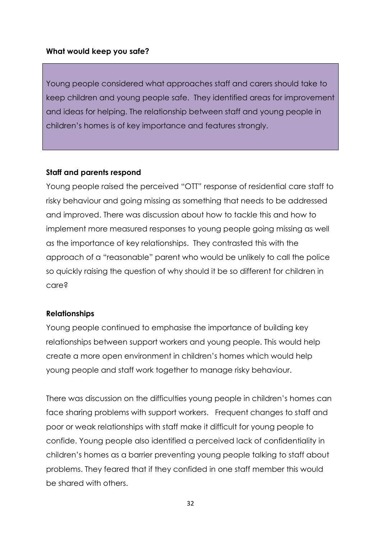#### **What would keep you safe?**

Young people considered what approaches staff and carers should take to keep children and young people safe. They identified areas for improvement and ideas for helping. The relationship between staff and young people in children's homes is of key importance and features strongly.

#### **Staff and parents respond**

Young people raised the perceived "OTT" response of residential care staff to risky behaviour and going missing as something that needs to be addressed and improved. There was discussion about how to tackle this and how to implement more measured responses to young people going missing as well as the importance of key relationships. They contrasted this with the approach of a "reasonable" parent who would be unlikely to call the police so quickly raising the question of why should it be so different for children in care?

#### **Relationships**

Young people continued to emphasise the importance of building key relationships between support workers and young people. This would help create a more open environment in children's homes which would help young people and staff work together to manage risky behaviour.

There was discussion on the difficulties young people in children's homes can face sharing problems with support workers. Frequent changes to staff and poor or weak relationships with staff make it difficult for young people to confide. Young people also identified a perceived lack of confidentiality in children's homes as a barrier preventing young people talking to staff about problems. They feared that if they confided in one staff member this would be shared with others.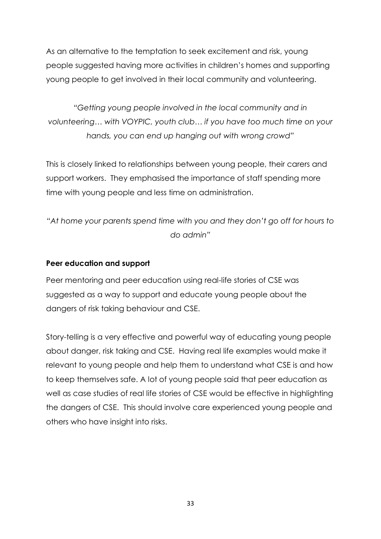As an alternative to the temptation to seek excitement and risk, young people suggested having more activities in children's homes and supporting young people to get involved in their local community and volunteering.

*"Getting young people involved in the local community and in volunteering… with VOYPIC, youth club… if you have too much time on your hands, you can end up hanging out with wrong crowd"*

This is closely linked to relationships between young people, their carers and support workers. They emphasised the importance of staff spending more time with young people and less time on administration.

*"At home your parents spend time with you and they don't go off for hours to do admin"*

#### **Peer education and support**

Peer mentoring and peer education using real-life stories of CSE was suggested as a way to support and educate young people about the dangers of risk taking behaviour and CSE.

Story-telling is a very effective and powerful way of educating young people about danger, risk taking and CSE. Having real life examples would make it relevant to young people and help them to understand what CSE is and how to keep themselves safe. A lot of young people said that peer education as well as case studies of real life stories of CSE would be effective in highlighting the dangers of CSE. This should involve care experienced young people and others who have insight into risks.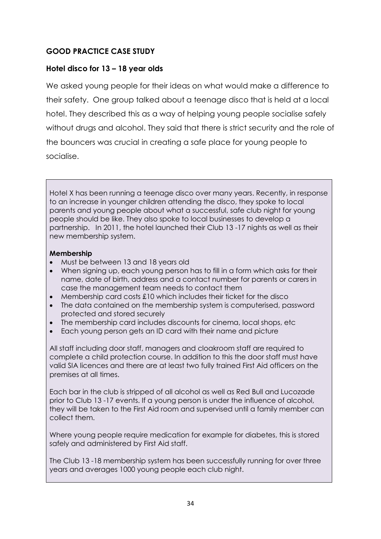# **GOOD PRACTICE CASE STUDY**

#### **Hotel disco for 13 – 18 year olds**

We asked young people for their ideas on what would make a difference to their safety. One group talked about a teenage disco that is held at a local hotel. They described this as a way of helping young people socialise safely without drugs and alcohol. They said that there is strict security and the role of the bouncers was crucial in creating a safe place for young people to socialise.

Hotel X has been running a teenage disco over many years. Recently, in response to an increase in younger children attending the disco, they spoke to local parents and young people about what a successful, safe club night for young people should be like. They also spoke to local businesses to develop a partnership. In 2011, the hotel launched their Club 13 -17 nights as well as their new membership system.

#### **Membership**

- Must be between 13 and 18 years old
- When signing up, each young person has to fill in a form which asks for their name, date of birth, address and a contact number for parents or carers in case the management team needs to contact them
- $\bullet$  Membership card costs £10 which includes their ticket for the disco
- The data contained on the membership system is computerised, password protected and stored securely
- The membership card includes discounts for cinema, local shops, etc
- Each young person gets an ID card with their name and picture

All staff including door staff, managers and cloakroom staff are required to complete a child protection course. In addition to this the door staff must have valid SIA licences and there are at least two fully trained First Aid officers on the premises at all times.

Each bar in the club is stripped of all alcohol as well as Red Bull and Lucozade prior to Club 13 -17 events. If a young person is under the influence of alcohol, they will be taken to the First Aid room and supervised until a family member can collect them.

Where young people require medication for example for diabetes, this is stored safely and administered by First Aid staff.

The Club 13 -18 membership system has been successfully running for over three years and averages 1000 young people each club night.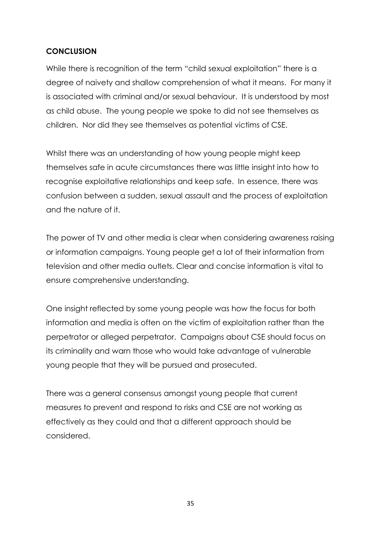## **CONCLUSION**

While there is recognition of the term "child sexual exploitation" there is a degree of naivety and shallow comprehension of what it means. For many it is associated with criminal and/or sexual behaviour. It is understood by most as child abuse. The young people we spoke to did not see themselves as children. Nor did they see themselves as potential victims of CSE.

Whilst there was an understanding of how young people might keep themselves safe in acute circumstances there was little insight into how to recognise exploitative relationships and keep safe. In essence, there was confusion between a sudden, sexual assault and the process of exploitation and the nature of it.

The power of TV and other media is clear when considering awareness raising or information campaigns. Young people get a lot of their information from television and other media outlets. Clear and concise information is vital to ensure comprehensive understanding.

One insight reflected by some young people was how the focus for both information and media is often on the victim of exploitation rather than the perpetrator or alleged perpetrator. Campaigns about CSE should focus on its criminality and warn those who would take advantage of vulnerable young people that they will be pursued and prosecuted.

There was a general consensus amongst young people that current measures to prevent and respond to risks and CSE are not working as effectively as they could and that a different approach should be considered.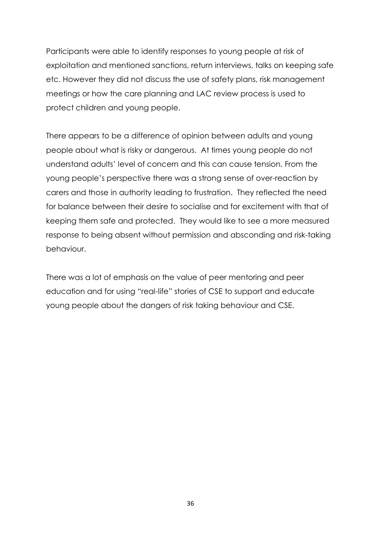Participants were able to identify responses to young people at risk of exploitation and mentioned sanctions, return interviews, talks on keeping safe etc. However they did not discuss the use of safety plans, risk management meetings or how the care planning and LAC review process is used to protect children and young people.

There appears to be a difference of opinion between adults and young people about what is risky or dangerous. At times young people do not understand adults' level of concern and this can cause tension. From the young people's perspective there was a strong sense of over-reaction by carers and those in authority leading to frustration. They reflected the need for balance between their desire to socialise and for excitement with that of keeping them safe and protected. They would like to see a more measured response to being absent without permission and absconding and risk-taking behaviour.

There was a lot of emphasis on the value of peer mentoring and peer education and for using "real-life" stories of CSE to support and educate young people about the dangers of risk taking behaviour and CSE.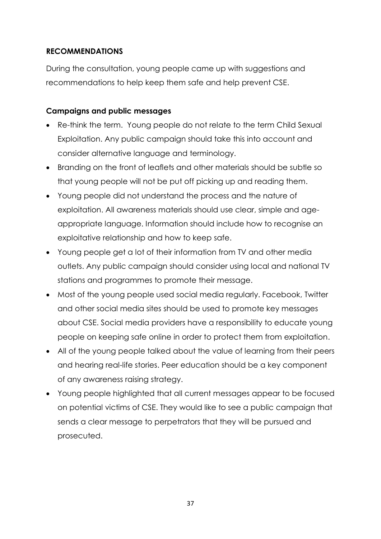# **RECOMMENDATIONS**

During the consultation, young people came up with suggestions and recommendations to help keep them safe and help prevent CSE.

#### **Campaigns and public messages**

- Re-think the term. Young people do not relate to the term Child Sexual Exploitation. Any public campaign should take this into account and consider alternative language and terminology.
- Branding on the front of leaflets and other materials should be subtle so that young people will not be put off picking up and reading them.
- Young people did not understand the process and the nature of exploitation. All awareness materials should use clear, simple and ageappropriate language. Information should include how to recognise an exploitative relationship and how to keep safe.
- Young people get a lot of their information from TV and other media outlets. Any public campaign should consider using local and national TV stations and programmes to promote their message.
- Most of the young people used social media regularly. Facebook, Twitter and other social media sites should be used to promote key messages about CSE. Social media providers have a responsibility to educate young people on keeping safe online in order to protect them from exploitation.
- All of the young people talked about the value of learning from their peers and hearing real-life stories. Peer education should be a key component of any awareness raising strategy.
- Young people highlighted that all current messages appear to be focused on potential victims of CSE. They would like to see a public campaign that sends a clear message to perpetrators that they will be pursued and prosecuted.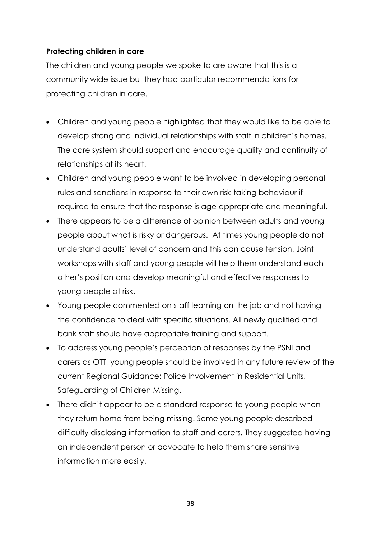# **Protecting children in care**

The children and young people we spoke to are aware that this is a community wide issue but they had particular recommendations for protecting children in care.

- Children and young people highlighted that they would like to be able to develop strong and individual relationships with staff in children's homes. The care system should support and encourage quality and continuity of relationships at its heart.
- Children and young people want to be involved in developing personal rules and sanctions in response to their own risk-taking behaviour if required to ensure that the response is age appropriate and meaningful.
- There appears to be a difference of opinion between adults and young people about what is risky or dangerous. At times young people do not understand adults' level of concern and this can cause tension. Joint workshops with staff and young people will help them understand each other's position and develop meaningful and effective responses to young people at risk.
- Young people commented on staff learning on the job and not having the confidence to deal with specific situations. All newly qualified and bank staff should have appropriate training and support.
- To address young people's perception of responses by the PSNI and carers as OTT, young people should be involved in any future review of the current Regional Guidance: Police Involvement in Residential Units, Safeguarding of Children Missing.
- There didn't appear to be a standard response to young people when they return home from being missing. Some young people described difficulty disclosing information to staff and carers. They suggested having an independent person or advocate to help them share sensitive information more easily.